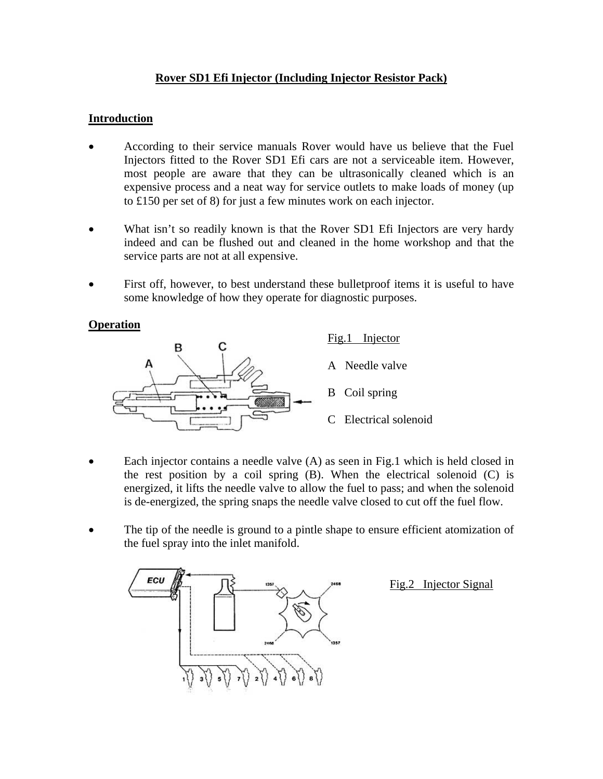# **Rover SD1 Efi Injector (Including Injector Resistor Pack)**

## **Introduction**

- According to their service manuals Rover would have us believe that the Fuel Injectors fitted to the Rover SD1 Efi cars are not a serviceable item. However, most people are aware that they can be ultrasonically cleaned which is an expensive process and a neat way for service outlets to make loads of money (up to £150 per set of 8) for just a few minutes work on each injector.
- What isn't so readily known is that the Rover SD1 Efi Injectors are very hardy indeed and can be flushed out and cleaned in the home workshop and that the service parts are not at all expensive.
- First off, however, to best understand these bulletproof items it is useful to have some knowledge of how they operate for diagnostic purposes.

#### **Operation**



- Each injector contains a needle valve (A) as seen in Fig.1 which is held closed in the rest position by a coil spring  $(B)$ . When the electrical solenoid  $(C)$  is energized, it lifts the needle valve to allow the fuel to pass; and when the solenoid is de-energized, the spring snaps the needle valve closed to cut off the fuel flow.
- The tip of the needle is ground to a pintle shape to ensure efficient atomization of the fuel spray into the inlet manifold.



Fig.2 Injector Signal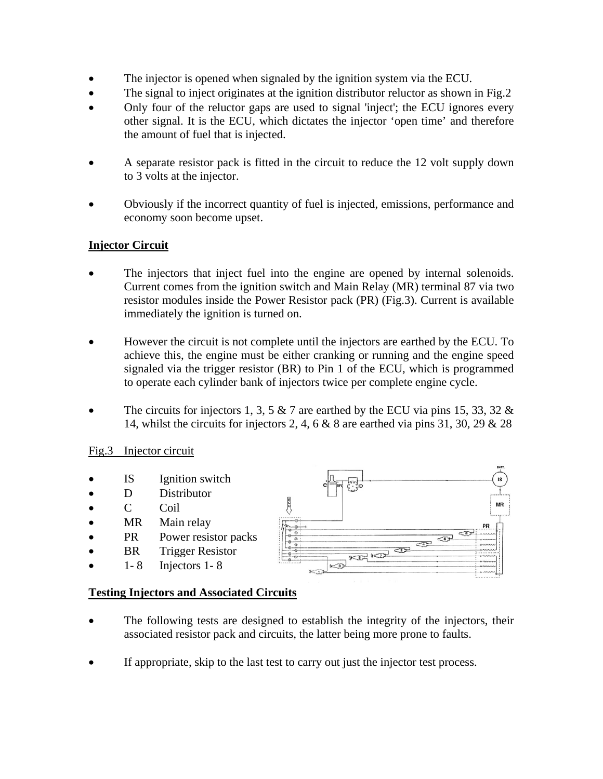- The injector is opened when signaled by the ignition system via the ECU.
- The signal to inject originates at the ignition distributor reluctor as shown in Fig.2
- Only four of the reluctor gaps are used to signal 'inject'; the ECU ignores every other signal. It is the ECU, which dictates the injector 'open time' and therefore the amount of fuel that is injected.
- A separate resistor pack is fitted in the circuit to reduce the 12 volt supply down to 3 volts at the injector.
- Obviously if the incorrect quantity of fuel is injected, emissions, performance and economy soon become upset.

# **Injector Circuit**

- The injectors that inject fuel into the engine are opened by internal solenoids. Current comes from the ignition switch and Main Relay (MR) terminal 87 via two resistor modules inside the Power Resistor pack (PR) (Fig.3). Current is available immediately the ignition is turned on.
- However the circuit is not complete until the injectors are earthed by the ECU. To achieve this, the engine must be either cranking or running and the engine speed signaled via the trigger resistor (BR) to Pin 1 of the ECU, which is programmed to operate each cylinder bank of injectors twice per complete engine cycle.
- The circuits for injectors 1, 3, 5  $\&$  7 are earthed by the ECU via pins 15, 33, 32  $\&$ 14, whilst the circuits for injectors 2, 4, 6 & 8 are earthed via pins 31, 30, 29 & 28

## Fig.3 Injector circuit

- IS Ignition switch
- D Distributor
- C Coil
- MR Main relay
- PR Power resistor packs
- **BR** Trigger Resistor
- $\bullet$  1-8 Injectors 1-8



## **Testing Injectors and Associated Circuits**

- The following tests are designed to establish the integrity of the injectors, their associated resistor pack and circuits, the latter being more prone to faults.
- If appropriate, skip to the last test to carry out just the injector test process.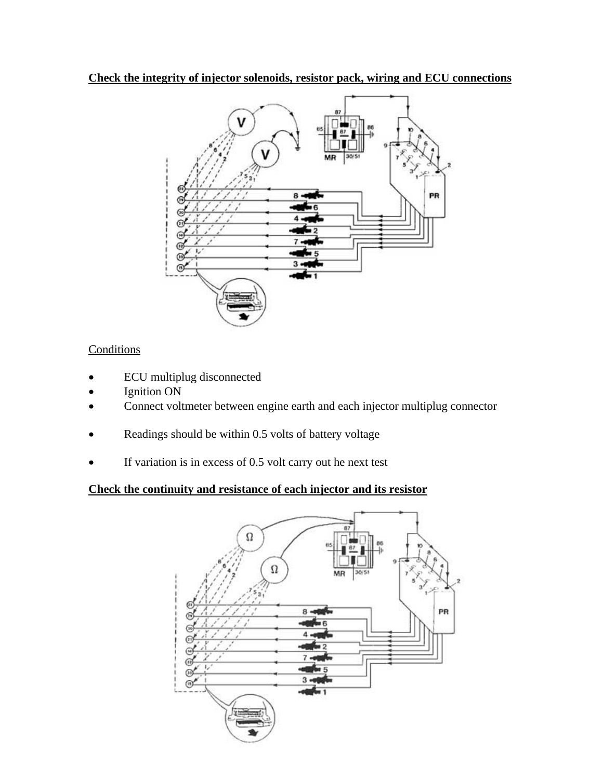**Check the integrity of injector solenoids, resistor pack, wiring and ECU connections**



# **Conditions**

- ECU multiplug disconnected
- Ignition ON
- Connect voltmeter between engine earth and each injector multiplug connector
- Readings should be within 0.5 volts of battery voltage
- If variation is in excess of 0.5 volt carry out he next test

# **Check the continuity and resistance of each injector and its resistor**

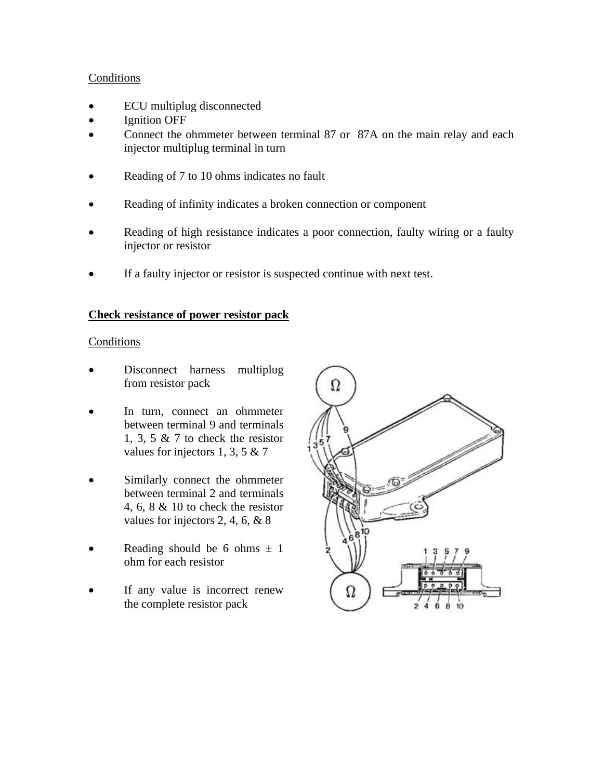#### **Conditions**

- ECU multiplug disconnected
- **Ignition OFF**
- Connect the ohmmeter between terminal 87 or 87A on the main relay and each injector multiplug terminal in turn
- Reading of 7 to 10 ohms indicates no fault
- Reading of infinity indicates a broken connection or component
- Reading of high resistance indicates a poor connection, faulty wiring or a faulty injector or resistor
- If a faulty injector or resistor is suspected continue with next test.

#### **Check resistance of power resistor pack**

#### Conditions

- Disconnect harness multiplug from resistor pack
- In turn, connect an ohmmeter between terminal 9 and terminals 1, 3, 5 & 7 to check the resistor values for injectors 1, 3, 5 & 7
- Similarly connect the ohmmeter between terminal 2 and terminals 4, 6, 8 & 10 to check the resistor values for injectors 2, 4, 6, & 8
- Reading should be 6 ohms  $\pm$  1 ohm for each resistor
- If any value is incorrect renew the complete resistor pack

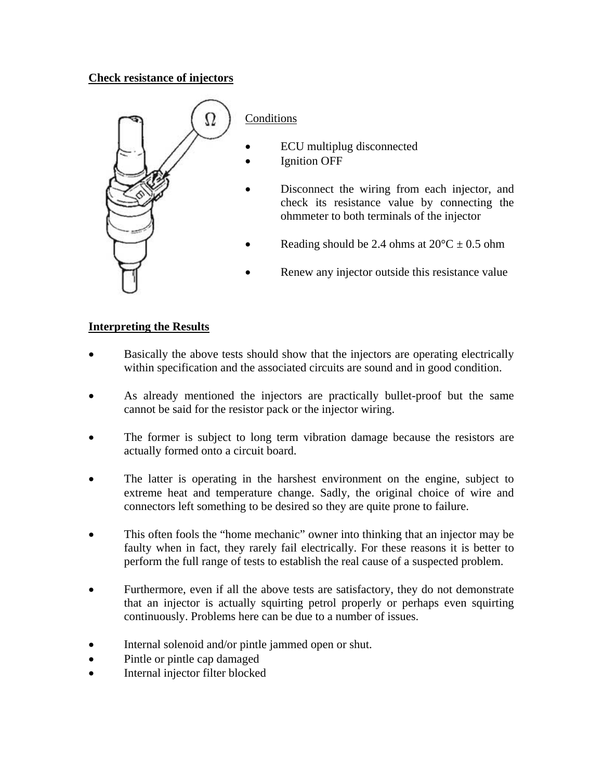# **Check resistance of injectors**



- ECU multiplug disconnected
- **Ignition OFF**
- Disconnect the wiring from each injector, and check its resistance value by connecting the ohmmeter to both terminals of the injector
- Reading should be 2.4 ohms at  $20^{\circ}C \pm 0.5$  ohm
- Renew any injector outside this resistance value

## **Interpreting the Results**

- Basically the above tests should show that the injectors are operating electrically within specification and the associated circuits are sound and in good condition.
- As already mentioned the injectors are practically bullet-proof but the same cannot be said for the resistor pack or the injector wiring.
- The former is subject to long term vibration damage because the resistors are actually formed onto a circuit board.
- The latter is operating in the harshest environment on the engine, subject to extreme heat and temperature change. Sadly, the original choice of wire and connectors left something to be desired so they are quite prone to failure.
- This often fools the "home mechanic" owner into thinking that an injector may be faulty when in fact, they rarely fail electrically. For these reasons it is better to perform the full range of tests to establish the real cause of a suspected problem.
- Furthermore, even if all the above tests are satisfactory, they do not demonstrate that an injector is actually squirting petrol properly or perhaps even squirting continuously. Problems here can be due to a number of issues.
- Internal solenoid and/or pintle jammed open or shut.
- Pintle or pintle cap damaged
- Internal injector filter blocked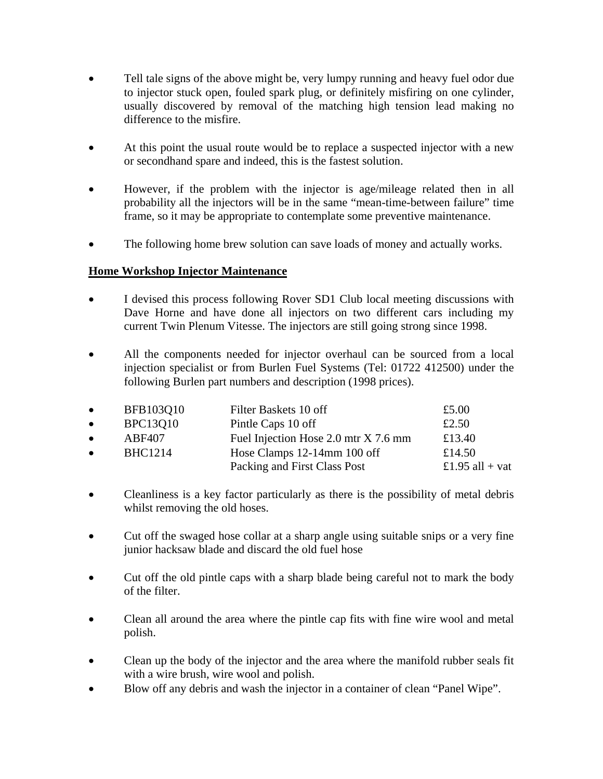- Tell tale signs of the above might be, very lumpy running and heavy fuel odor due to injector stuck open, fouled spark plug, or definitely misfiring on one cylinder, usually discovered by removal of the matching high tension lead making no difference to the misfire.
- At this point the usual route would be to replace a suspected injector with a new or secondhand spare and indeed, this is the fastest solution.
- However, if the problem with the injector is age/mileage related then in all probability all the injectors will be in the same "mean-time-between failure" time frame, so it may be appropriate to contemplate some preventive maintenance.
- The following home brew solution can save loads of money and actually works.

# **Home Workshop Injector Maintenance**

- I devised this process following Rover SD1 Club local meeting discussions with Dave Horne and have done all injectors on two different cars including my current Twin Plenum Vitesse. The injectors are still going strong since 1998.
- All the components needed for injector overhaul can be sourced from a local injection specialist or from Burlen Fuel Systems (Tel: 01722 412500) under the following Burlen part numbers and description (1998 prices).

| $\bullet$ | BFB103Q10       | Filter Baskets 10 off                | £5.00           |
|-----------|-----------------|--------------------------------------|-----------------|
| $\bullet$ | <b>BPC13Q10</b> | Pintle Caps 10 off                   | £2.50           |
| $\bullet$ | ABF407          | Fuel Injection Hose 2.0 mtr X 7.6 mm | £13.40          |
| $\bullet$ | <b>BHC1214</b>  | Hose Clamps 12-14mm 100 off          | £14.50          |
|           |                 | Packing and First Class Post         | £1.95 all + vat |

- Cleanliness is a key factor particularly as there is the possibility of metal debris whilst removing the old hoses.
- Cut off the swaged hose collar at a sharp angle using suitable snips or a very fine junior hacksaw blade and discard the old fuel hose
- Cut off the old pintle caps with a sharp blade being careful not to mark the body of the filter.
- Clean all around the area where the pintle cap fits with fine wire wool and metal polish.
- Clean up the body of the injector and the area where the manifold rubber seals fit with a wire brush, wire wool and polish.
- Blow off any debris and wash the injector in a container of clean "Panel Wipe".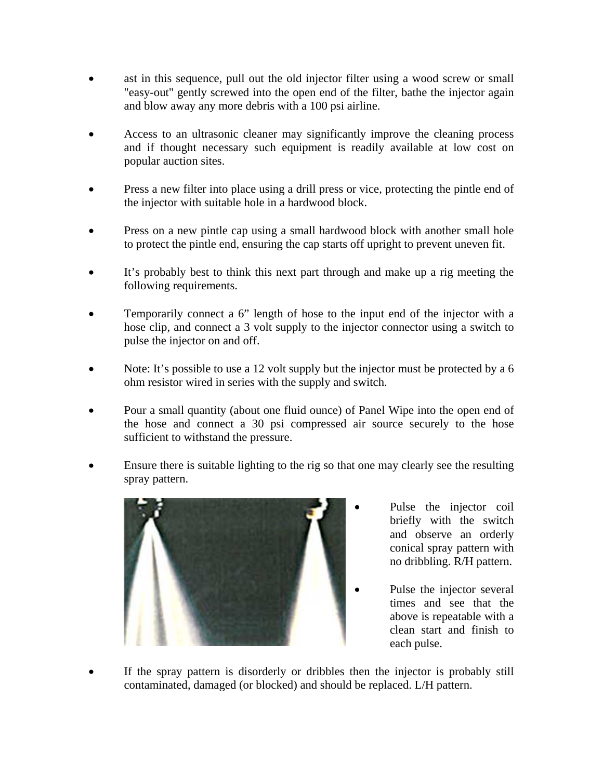- ast in this sequence, pull out the old injector filter using a wood screw or small "easy-out" gently screwed into the open end of the filter, bathe the injector again and blow away any more debris with a 100 psi airline.
- Access to an ultrasonic cleaner may significantly improve the cleaning process and if thought necessary such equipment is readily available at low cost on popular auction sites.
- Press a new filter into place using a drill press or vice, protecting the pintle end of the injector with suitable hole in a hardwood block.
- Press on a new pintle cap using a small hardwood block with another small hole to protect the pintle end, ensuring the cap starts off upright to prevent uneven fit.
- It's probably best to think this next part through and make up a rig meeting the following requirements.
- Temporarily connect a 6" length of hose to the input end of the injector with a hose clip, and connect a 3 volt supply to the injector connector using a switch to pulse the injector on and off.
- Note: It's possible to use a 12 volt supply but the injector must be protected by a 6 ohm resistor wired in series with the supply and switch.
- Pour a small quantity (about one fluid ounce) of Panel Wipe into the open end of the hose and connect a 30 psi compressed air source securely to the hose sufficient to withstand the pressure.
- Ensure there is suitable lighting to the rig so that one may clearly see the resulting spray pattern.



- Pulse the injector coil briefly with the switch and observe an orderly conical spray pattern with no dribbling. R/H pattern.
- Pulse the injector several times and see that the above is repeatable with a clean start and finish to each pulse.
- If the spray pattern is disorderly or dribbles then the injector is probably still contaminated, damaged (or blocked) and should be replaced. L/H pattern.